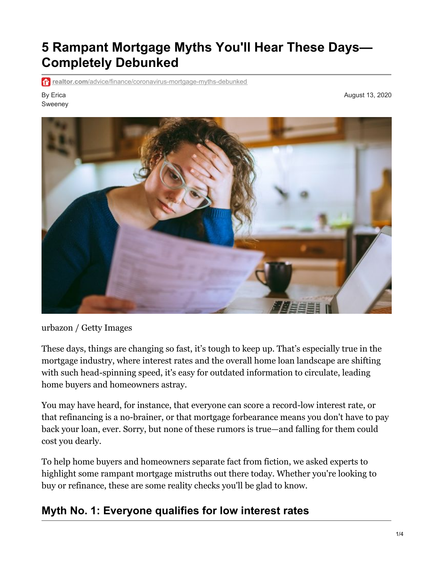# **5 Rampant Mortgage Myths You'll Hear These Days— Completely Debunked**

**realtor.com**[/advice/finance/coronavirus-mortgage-myths-debunked](https://www.realtor.com/advice/finance/coronavirus-mortgage-myths-debunked/?identityID=58ca5571fed7cab4320a0fda&MID=2020_0813_ArticleNL&RID=4401865762&cid=eml_promo_Marketing_NonPRSL_ArticleNL_cons.11799702_2020_0813_ArticleNL-hero-blogs_finance)

By Erica Sweeney August 13, 2020



urbazon / Getty Images

These days, things are changing so fast, it's tough to keep up. That's especially true in the mortgage industry, where interest rates and the overall home loan landscape are shifting with such head-spinning speed, it's easy for outdated information to circulate, leading home buyers and homeowners astray.

You may have heard, for instance, that everyone can score a record-low interest rate, or that refinancing is a no-brainer, or that mortgage forbearance means you don't have to pay back your loan, ever. Sorry, but none of these rumors is true—and falling for them could cost you dearly.

To help home buyers and homeowners separate fact from fiction, we asked experts to highlight some rampant mortgage mistruths out there today. Whether you're looking to buy or refinance, these are some reality checks you'll be glad to know.

#### **Myth No. 1: Everyone qualifies for low interest rates**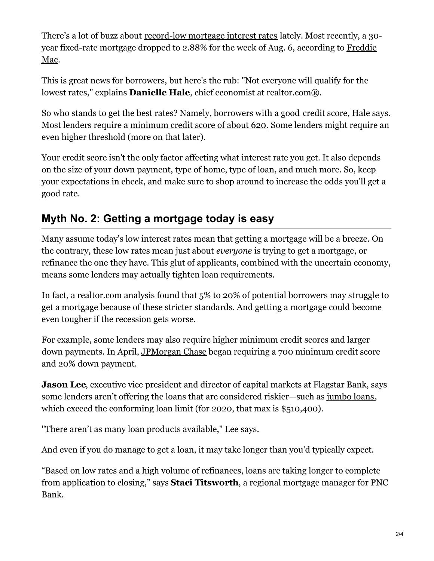There's a lot of buzz about [record-low](https://www.realtor.com/news/real-estate-news/how-low-could-mortgage-rates-go-below-3-percent-if-you-know-where-to-look/) mortgage interest rates lately. Most recently, a 30 year fixed-rate mortgage dropped to 2.88% for the week of Aug. 6, according to Freddie Mac.

This is great news for borrowers, but here's the rub: "Not everyone will qualify for the lowest rates," explains **Danielle Hale**, chief economist at realtor.com®.

So who stands to get the best rates? Namely, borrowers with a good [credit](https://www.realtor.com/advice/finance/what-is-a-good-credit-score/#:~:text=A credit score can range,credit score%2C 650 to 699.) score, Hale says. Most lenders require a [minimum](https://www.experian.com/blogs/ask-experian/what-does-my-credit-score-need-to-be-to-get-approved-for-a-mortgage/) credit score of about 620. Some lenders might require an even higher threshold (more on that later).

Your credit score isn't the only factor affecting what interest rate you get. It also depends on the size of your down payment, type of home, type of loan, and much more. So, keep your expectations in check, and make sure to shop around to increase the odds you'll get a good rate.

## **Myth No. 2: Getting a mortgage today is easy**

Many assume today's low interest rates mean that getting a mortgage will be a breeze. On the contrary, these low rates mean just about *everyone* is trying to get a mortgage, or refinance the one they have. This glut of applicants, combined with the uncertain economy, means some lenders may actually tighten loan requirements.

In fact, a realtor.com analysis found that 5% to 20% of potential borrowers may struggle to get a mortgage because of these stricter standards. And getting a mortgage could become even tougher if the recession gets worse.

For example, some lenders may also require higher minimum credit scores and larger down payments. In April, JPMorgan Chase began requiring a 700 minimum credit score and 20% down payment.

**Jason Lee**, executive vice president and director of capital markets at Flagstar Bank, says some lenders aren't offering the loans that are considered riskier—such as [jumbo](https://www.realtor.com/advice/finance/what-is-a-jumbo-loan/) loans, which exceed the conforming loan limit (for 2020, that max is \$510,400).

"There aren't as many loan products available," Lee says.

And even if you do manage to get a loan, it may take longer than you'd typically expect.

"Based on low rates and a high volume of refinances, loans are taking longer to complete from application to closing," says **Staci Titsworth**, a regional mortgage manager for PNC Bank.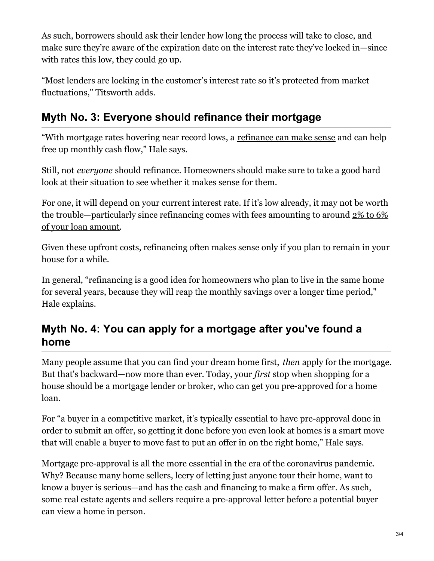As such, borrowers should ask their lender how long the process will take to close, and make sure they're aware of the expiration date on the interest rate they've locked in—since with rates this low, they could go up.

"Most lenders are locking in the customer's interest rate so it's protected from market fluctuations," Titsworth adds.

## **Myth No. 3: Everyone should refinance their mortgage**

"With mortgage rates hovering near record lows, a refinance can make sense and can help free up monthly cash flow," Hale says.

Still, not *everyone* should refinance. Homeowners should make sure to take a good hard look at their situation to see whether it makes sense for them.

For one, it will depend on your current interest rate. If it's low already, it may not be worth the trouble—particularly since refinancing comes with fees amounting to around 2% to 6% of your loan amount.

Given these upfront costs, refinancing often makes sense only if you plan to remain in your house for a while.

In general, "refinancing is a good idea for homeowners who plan to live in the same home for several years, because they will reap the monthly savings over a longer time period," Hale explains.

## **Myth No. 4: You can apply for a mortgage after you've found a home**

Many people assume that you can find your dream home first, *then* apply for the mortgage. But that's backward—now more than ever. Today, your *first* stop when shopping for a house should be a mortgage lender or broker, who can get you pre-approved for a home loan.

For "a buyer in a competitive market, it's typically essential to have pre-approval done in order to submit an offer, so getting it done before you even look at homes is a smart move that will enable a buyer to move fast to put an offer in on the right home," Hale says.

Mortgage pre-approval is all the more essential in the era of the coronavirus pandemic. Why? Because many home sellers, leery of letting just anyone tour their home, want to know a buyer is serious—and has the cash and financing to make a firm offer. As such, some real estate agents and sellers require a pre-approval letter before a potential buyer can view a home in person.